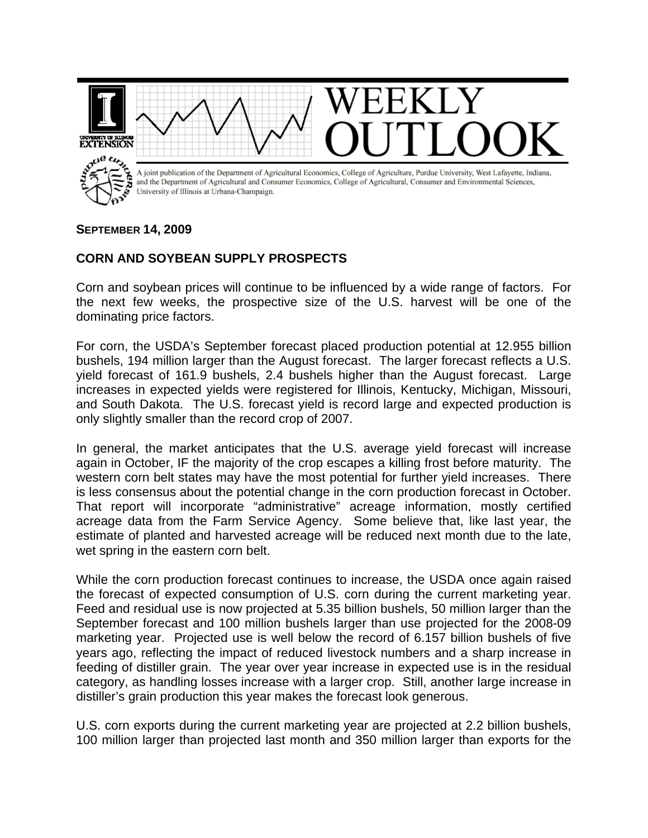

## **SEPTEMBER 14, 2009**

## **CORN AND SOYBEAN SUPPLY PROSPECTS**

Corn and soybean prices will continue to be influenced by a wide range of factors. For the next few weeks, the prospective size of the U.S. harvest will be one of the dominating price factors.

For corn, the USDA's September forecast placed production potential at 12.955 billion bushels, 194 million larger than the August forecast. The larger forecast reflects a U.S. yield forecast of 161.9 bushels, 2.4 bushels higher than the August forecast. Large increases in expected yields were registered for Illinois, Kentucky, Michigan, Missouri, and South Dakota. The U.S. forecast yield is record large and expected production is only slightly smaller than the record crop of 2007.

In general, the market anticipates that the U.S. average yield forecast will increase again in October, IF the majority of the crop escapes a killing frost before maturity. The western corn belt states may have the most potential for further yield increases. There is less consensus about the potential change in the corn production forecast in October. That report will incorporate "administrative" acreage information, mostly certified acreage data from the Farm Service Agency. Some believe that, like last year, the estimate of planted and harvested acreage will be reduced next month due to the late, wet spring in the eastern corn belt.

While the corn production forecast continues to increase, the USDA once again raised the forecast of expected consumption of U.S. corn during the current marketing year. Feed and residual use is now projected at 5.35 billion bushels, 50 million larger than the September forecast and 100 million bushels larger than use projected for the 2008-09 marketing year. Projected use is well below the record of 6.157 billion bushels of five years ago, reflecting the impact of reduced livestock numbers and a sharp increase in feeding of distiller grain. The year over year increase in expected use is in the residual category, as handling losses increase with a larger crop. Still, another large increase in distiller's grain production this year makes the forecast look generous.

U.S. corn exports during the current marketing year are projected at 2.2 billion bushels, 100 million larger than projected last month and 350 million larger than exports for the